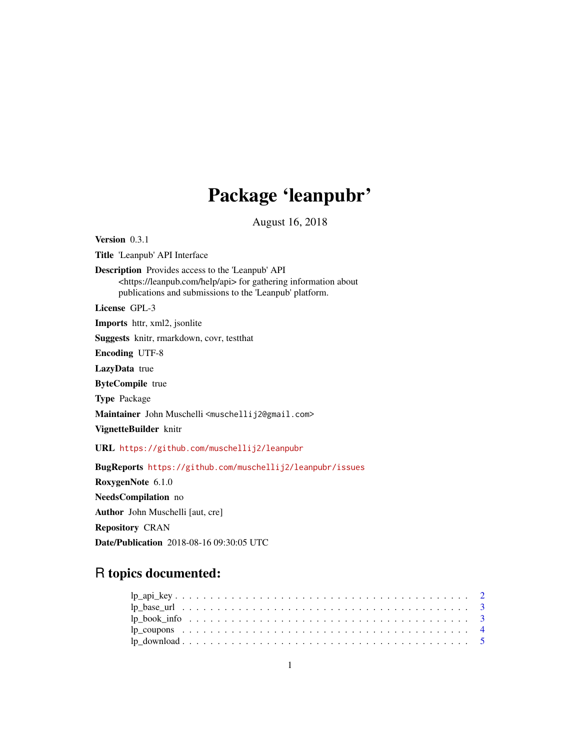## Package 'leanpubr'

August 16, 2018

<span id="page-0-0"></span>Version 0.3.1

Title 'Leanpub' API Interface

Description Provides access to the 'Leanpub' API <https://leanpub.com/help/api> for gathering information about publications and submissions to the 'Leanpub' platform.

License GPL-3

Imports httr, xml2, jsonlite

Suggests knitr, rmarkdown, covr, testthat

Encoding UTF-8

LazyData true

ByteCompile true

Type Package

Maintainer John Muschelli <muschellij2@gmail.com>

VignetteBuilder knitr

URL <https://github.com/muschellij2/leanpubr>

BugReports <https://github.com/muschellij2/leanpubr/issues>

RoxygenNote 6.1.0 NeedsCompilation no Author John Muschelli [aut, cre] Repository CRAN Date/Publication 2018-08-16 09:30:05 UTC

## R topics documented:

| $lp_bbase\_url \dots \dots \dots \dots \dots \dots \dots \dots \dots \dots \dots \dots \dots \dots \dots$ |  |
|-----------------------------------------------------------------------------------------------------------|--|
|                                                                                                           |  |
|                                                                                                           |  |
|                                                                                                           |  |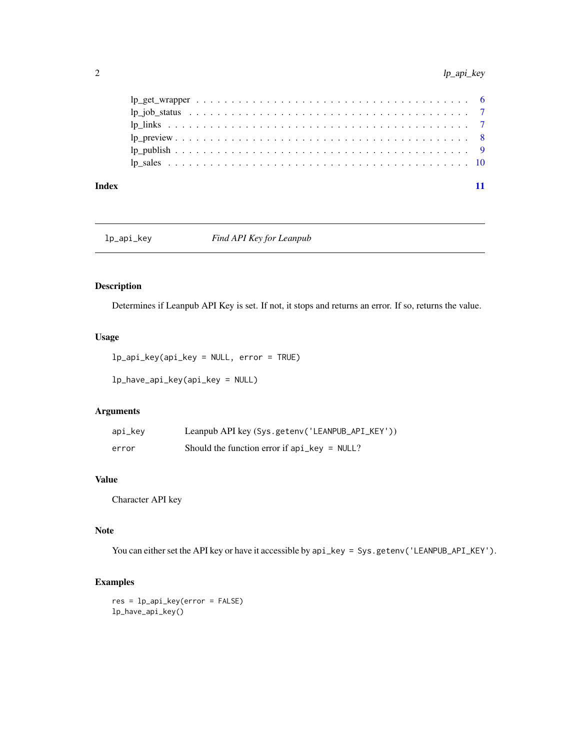<span id="page-1-0"></span>

|       | $lp\_get\_wrapper \ldots \ldots \ldots \ldots \ldots \ldots \ldots \ldots \ldots \ldots \ldots \ldots$ |  |  |  |  |  |  |  |  |  |  |  |  |  |  |  |  |  |
|-------|--------------------------------------------------------------------------------------------------------|--|--|--|--|--|--|--|--|--|--|--|--|--|--|--|--|--|
|       |                                                                                                        |  |  |  |  |  |  |  |  |  |  |  |  |  |  |  |  |  |
|       |                                                                                                        |  |  |  |  |  |  |  |  |  |  |  |  |  |  |  |  |  |
|       |                                                                                                        |  |  |  |  |  |  |  |  |  |  |  |  |  |  |  |  |  |
|       |                                                                                                        |  |  |  |  |  |  |  |  |  |  |  |  |  |  |  |  |  |
|       |                                                                                                        |  |  |  |  |  |  |  |  |  |  |  |  |  |  |  |  |  |
| Index |                                                                                                        |  |  |  |  |  |  |  |  |  |  |  |  |  |  |  |  |  |

#### <span id="page-1-1"></span>lp\_api\_key *Find API Key for Leanpub*

#### Description

Determines if Leanpub API Key is set. If not, it stops and returns an error. If so, returns the value.

#### Usage

lp\_api\_key(api\_key = NULL, error = TRUE)

lp\_have\_api\_key(api\_key = NULL)

#### Arguments

| api_key | Leanpub API key (Sys.getenv('LEANPUB_API_KEY'))  |
|---------|--------------------------------------------------|
| error   | Should the function error if $api\_key = NULL$ ? |

#### Value

Character API key

#### Note

You can either set the API key or have it accessible by api\_key = Sys.getenv('LEANPUB\_API\_KEY').

#### Examples

res = lp\_api\_key(error = FALSE) lp\_have\_api\_key()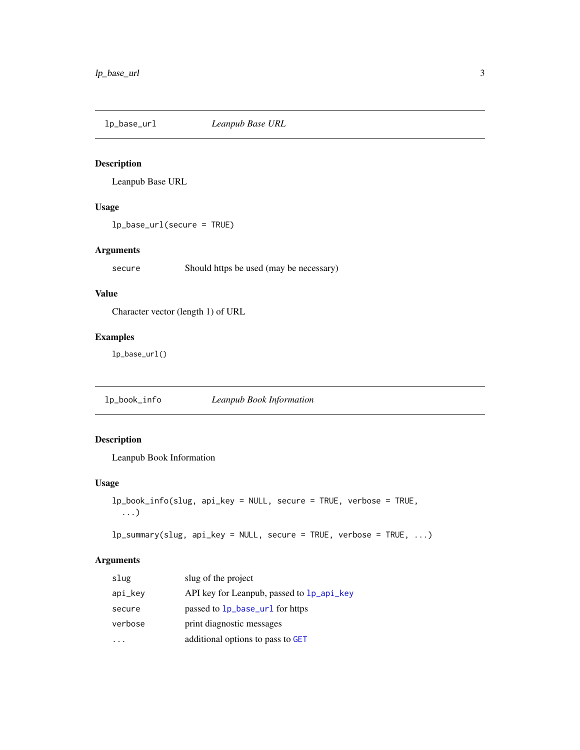<span id="page-2-1"></span><span id="page-2-0"></span>lp\_base\_url *Leanpub Base URL*

#### Description

Leanpub Base URL

#### Usage

lp\_base\_url(secure = TRUE)

#### Arguments

secure Should https be used (may be necessary)

#### Value

Character vector (length 1) of URL

#### Examples

lp\_base\_url()

lp\_book\_info *Leanpub Book Information*

#### Description

Leanpub Book Information

#### Usage

```
lp_book_info(slug, api_key = NULL, secure = TRUE, verbose = TRUE,
  ...)
```

```
lp_summary(slug, api_key = NULL, secure = TRUE, verbose = TRUE, ...)
```
#### Arguments

| slug    | slug of the project                       |
|---------|-------------------------------------------|
| api_key | API key for Leanpub, passed to 1p_api_key |
| secure  | passed to 1p_base_ur1 for https           |
| verbose | print diagnostic messages                 |
|         | additional options to pass to GET         |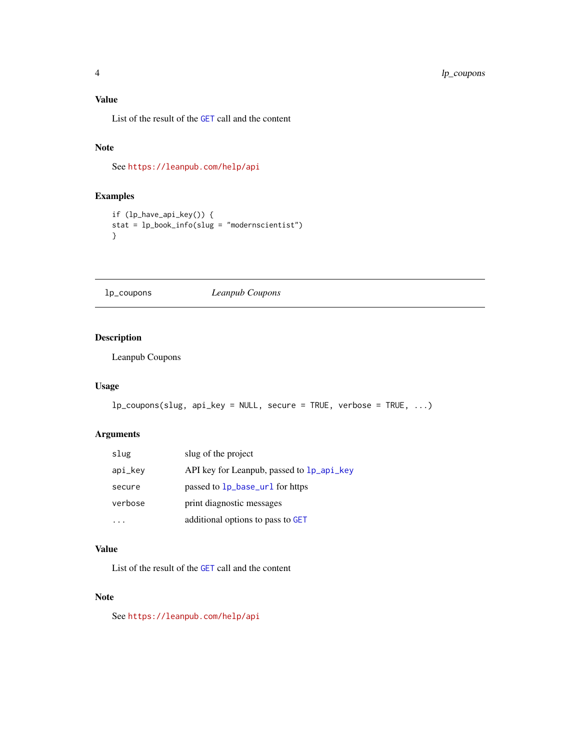#### <span id="page-3-0"></span>Value

List of the result of the [GET](#page-0-0) call and the content

#### Note

See <https://leanpub.com/help/api>

#### Examples

```
if (lp_have_api_key()) {
stat = lp_book_info(slug = "modernscientist")
}
```
lp\_coupons *Leanpub Coupons*

#### Description

Leanpub Coupons

### Usage

```
lp_coupons(slug, api_key = NULL, secure = TRUE, verbose = TRUE, ...)
```
#### Arguments

| slug    | slug of the project                       |
|---------|-------------------------------------------|
| api_key | API key for Leanpub, passed to 1p_api_key |
| secure  | passed to 1p_base_ur1 for https           |
| verbose | print diagnostic messages                 |
|         | additional options to pass to GET         |

### Value

List of the result of the [GET](#page-0-0) call and the content

#### Note

See <https://leanpub.com/help/api>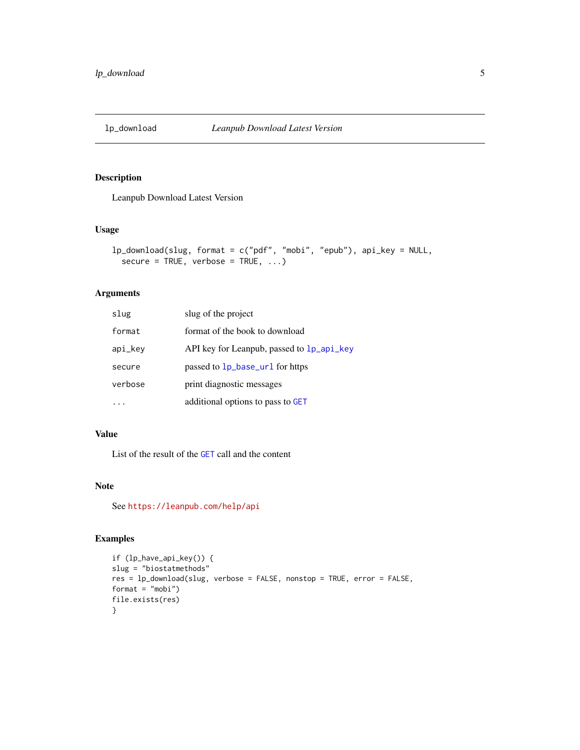<span id="page-4-0"></span>

#### Description

Leanpub Download Latest Version

#### Usage

```
lp_download(slug, format = c("pdf", "mobi", "epub"), api_key = NULL,
  secure = TRUE, verbose = TRUE, ...)
```
#### Arguments

| slug    | slug of the project                       |
|---------|-------------------------------------------|
| format  | format of the book to download            |
| api_key | API key for Leanpub, passed to 1p_api_key |
| secure  | passed to 1p_base_ur1 for https           |
| verbose | print diagnostic messages                 |
|         | additional options to pass to GET         |

#### Value

List of the result of the [GET](#page-0-0) call and the content

#### Note

See <https://leanpub.com/help/api>

```
if (lp_have_api_key()) {
slug = "biostatmethods"
res = lp_download(slug, verbose = FALSE, nonstop = TRUE, error = FALSE,
format = "mobi")
file.exists(res)
}
```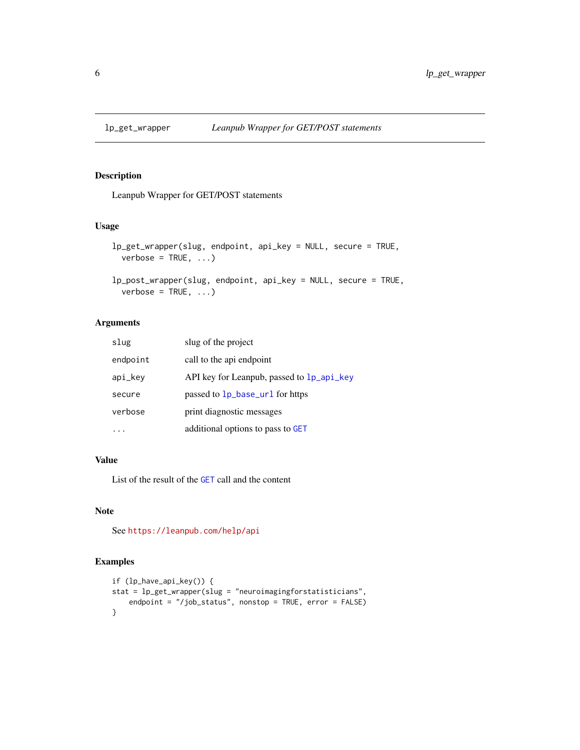<span id="page-5-0"></span>

#### Description

Leanpub Wrapper for GET/POST statements

#### Usage

```
lp_get_wrapper(slug, endpoint, api_key = NULL, secure = TRUE,
 verbose = TRUE, ...)
```

```
lp_post_wrapper(slug, endpoint, api_key = NULL, secure = TRUE,
 verbose = TRUE, ...)
```
#### Arguments

| slug     | slug of the project                       |
|----------|-------------------------------------------|
| endpoint | call to the api endpoint                  |
| api_key  | API key for Leanpub, passed to 1p_api_key |
| secure   | passed to 1p_base_ur1 for https           |
| verbose  | print diagnostic messages                 |
|          | additional options to pass to GET         |

#### Value

List of the result of the [GET](#page-0-0) call and the content

#### Note

See <https://leanpub.com/help/api>

```
if (lp_have_api_key()) {
stat = lp_get_wrapper(slug = "neuroimagingforstatisticians",
   endpoint = "/job_status", nonstop = TRUE, error = FALSE)
}
```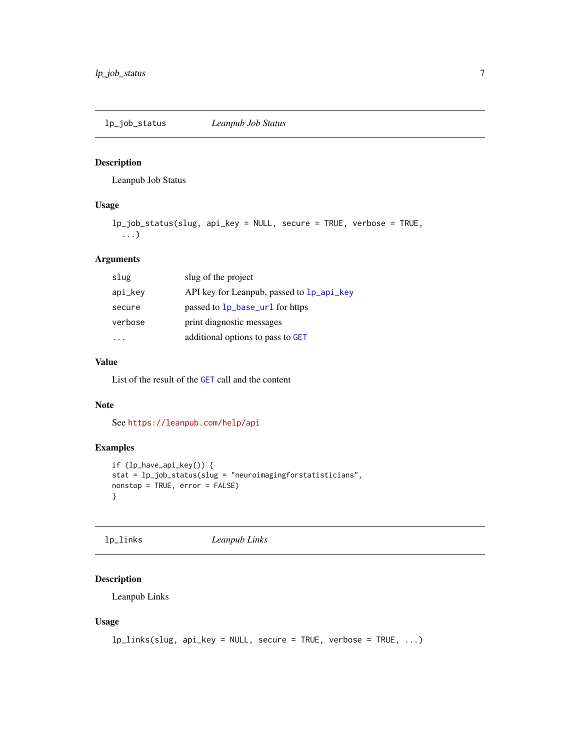<span id="page-6-0"></span>lp\_job\_status *Leanpub Job Status*

#### Description

Leanpub Job Status

#### Usage

```
lp_job_status(slug, api_key = NULL, secure = TRUE, verbose = TRUE,
  ...)
```
#### Arguments

| slug    | slug of the project                       |
|---------|-------------------------------------------|
| api_key | API key for Leanpub, passed to 1p_api_key |
| secure  | passed to 1p_base_ur1 for https           |
| verbose | print diagnostic messages                 |
|         | additional options to pass to GET         |

#### Value

List of the result of the [GET](#page-0-0) call and the content

#### Note

See <https://leanpub.com/help/api>

#### Examples

```
if (lp_have_api_key()) {
stat = lp_job_status(slug = "neuroimagingforstatisticians",
nonstop = TRUE, error = FALSE)
}
```
lp\_links *Leanpub Links*

#### Description

Leanpub Links

#### Usage

```
lp_links(slug, api_key = NULL, secure = TRUE, verbose = TRUE, ...)
```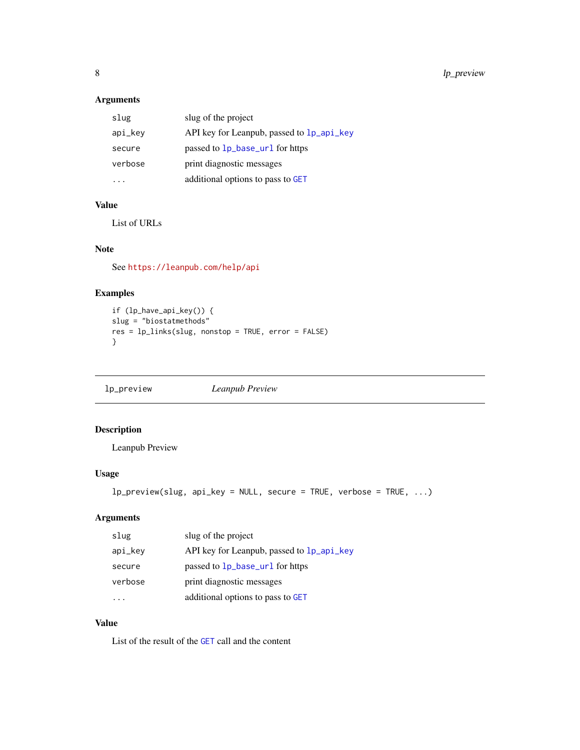#### <span id="page-7-0"></span>Arguments

| slug    | slug of the project                       |
|---------|-------------------------------------------|
| api_key | API key for Leanpub, passed to 1p_api_key |
| secure  | passed to 1p_base_ur1 for https           |
| verbose | print diagnostic messages                 |
|         | additional options to pass to GET         |

#### Value

List of URLs

#### Note

See <https://leanpub.com/help/api>

#### Examples

```
if (lp_have_api_key()) {
slug = "biostatmethods"
res = lp_links(slug, nonstop = TRUE, error = FALSE)
}
```
lp\_preview *Leanpub Preview*

### Description

Leanpub Preview

#### Usage

```
lp_preview(slug, api_key = NULL, secure = TRUE, verbose = TRUE, ...)
```
#### Arguments

| slug    | slug of the project                       |
|---------|-------------------------------------------|
| api_key | API key for Leanpub, passed to 1p_api_key |
| secure  | passed to 1p_base_ur1 for https           |
| verbose | print diagnostic messages                 |
|         | additional options to pass to GET         |

#### Value

List of the result of the [GET](#page-0-0) call and the content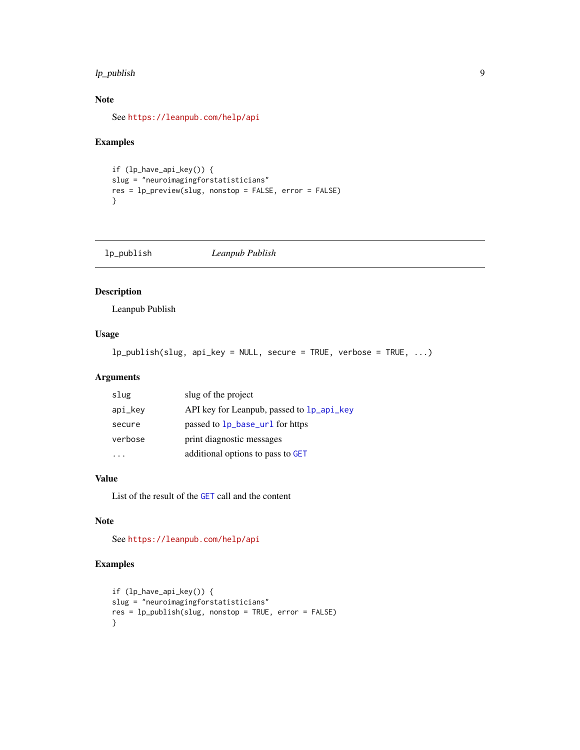#### <span id="page-8-0"></span>lp\_publish 9

#### Note

See <https://leanpub.com/help/api>

#### Examples

```
if (lp_have_api_key()) {
slug = "neuroimagingforstatisticians"
res = lp_preview(slug, nonstop = FALSE, error = FALSE)
}
```

| lp_publish | Leanpub Publish |
|------------|-----------------|
|------------|-----------------|

#### Description

Leanpub Publish

#### Usage

```
lp_publish(slug, api_key = NULL, secure = TRUE, verbose = TRUE, ...)
```
#### Arguments

| slug    | slug of the project                       |
|---------|-------------------------------------------|
| api_key | API key for Leanpub, passed to 1p_api_key |
| secure  | passed to 1p_base_ur1 for https           |
| verbose | print diagnostic messages                 |
|         | additional options to pass to GET         |

#### Value

List of the result of the [GET](#page-0-0) call and the content

#### Note

See <https://leanpub.com/help/api>

```
if (lp_have_api_key()) {
slug = "neuroimagingforstatisticians"
res = lp_publish(slug, nonstop = TRUE, error = FALSE)
}
```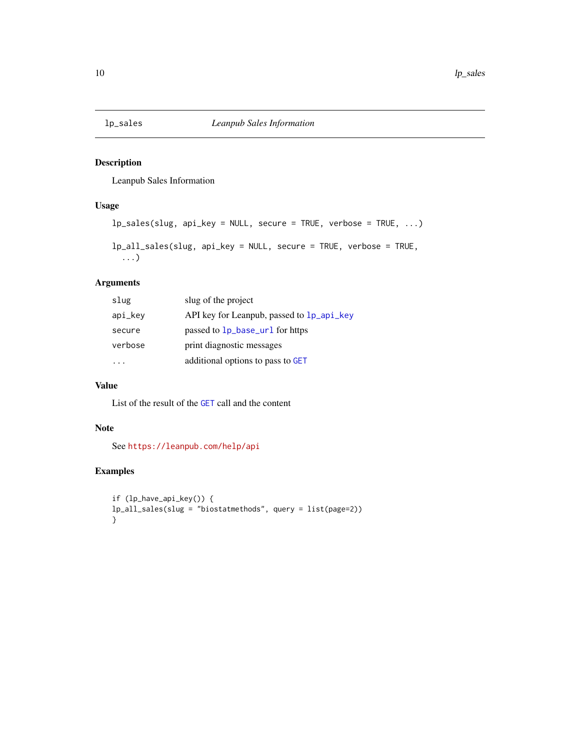<span id="page-9-0"></span>

#### Description

Leanpub Sales Information

#### Usage

```
lp_sales(slug, api_key = NULL, secure = TRUE, verbose = TRUE, ...)
lp_all_sales(slug, api_key = NULL, secure = TRUE, verbose = TRUE,
  ...)
```
#### Arguments

| slug    | slug of the project                       |
|---------|-------------------------------------------|
| api_key | API key for Leanpub, passed to 1p_api_key |
| secure  | passed to 1p_base_ur1 for https           |
| verbose | print diagnostic messages                 |
|         | additional options to pass to GET         |
|         |                                           |

#### Value

List of the result of the [GET](#page-0-0) call and the content

#### Note

See <https://leanpub.com/help/api>

```
if (lp_have_api_key()) {
lp_all_sales(slug = "biostatmethods", query = list(page=2))
}
```